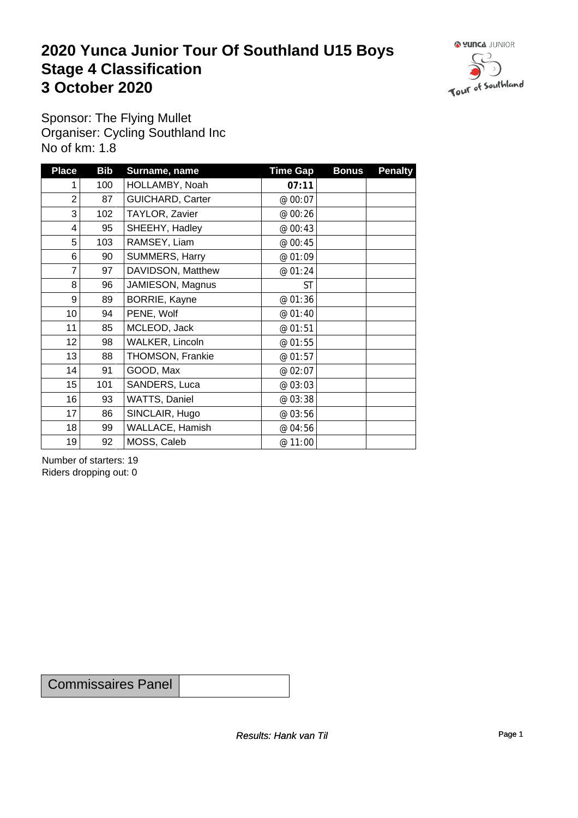### **2020 Yunca Junior Tour Of Southland U15 Boys** Stage 4 Classification<br>
3 October 2020 **3 October 2020**



Sponsor: The Flying Mullet Organiser: Cycling Southland Inc No of km: 1.8

| <b>Place</b>    | <b>Bib</b> | Surname, name           | <b>Time Gap</b> | <b>Bonus</b> | <b>Penalty</b> |
|-----------------|------------|-------------------------|-----------------|--------------|----------------|
|                 | 100        | HOLLAMBY, Noah          | 07:11           |              |                |
| $\overline{2}$  | 87         | <b>GUICHARD, Carter</b> | @ 00:07         |              |                |
| 3               | 102        | TAYLOR, Zavier          | @ 00:26         |              |                |
| $\overline{4}$  | 95         | SHEEHY, Hadley          | @ 00:43         |              |                |
| 5               | 103        | RAMSEY, Liam            | @ 00:45         |              |                |
| 6               | 90         | SUMMERS, Harry          | @ 01:09         |              |                |
| $\overline{7}$  | 97         | DAVIDSON, Matthew       | @ 01:24         |              |                |
| 8               | 96         | JAMIESON, Magnus        | <b>ST</b>       |              |                |
| 9               | 89         | BORRIE, Kayne           | @ 01:36         |              |                |
| 10 <sup>1</sup> | 94         | PENE, Wolf              | @ 01:40         |              |                |
| 11              | 85         | MCLEOD, Jack            | @ 01:51         |              |                |
| 12              | 98         | WALKER, Lincoln         | @ 01:55         |              |                |
| 13              | 88         | THOMSON, Frankie        | @ 01:57         |              |                |
| 14              | 91         | GOOD, Max               | @ 02:07         |              |                |
| 15              | 101        | SANDERS, Luca           | @ 03:03         |              |                |
| 16              | 93         | WATTS, Daniel           | @ 03:38         |              |                |
| 17              | 86         | SINCLAIR, Hugo          | @ 03:56         |              |                |
| 18              | 99         | WALLACE, Hamish         | @ 04:56         |              |                |
| 19              | 92         | MOSS, Caleb             | @ 11:00         |              |                |

Number of starters: 19 Riders dropping out: 0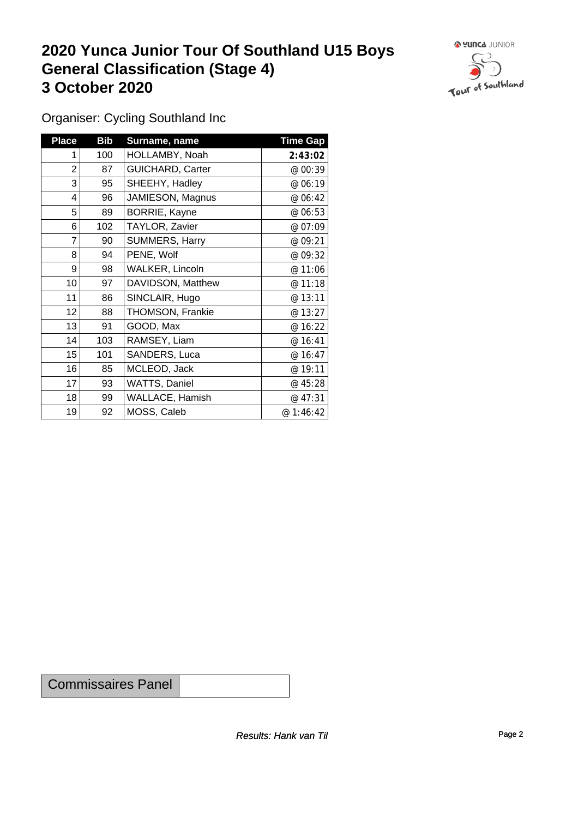### **2020 Yunca Junior Tour Of Southland U15 Boys General Classification (Stage 4)**<br> **3 October 2020 3 October 2020**



Organiser: Cycling Southland Inc

| <b>Place</b>            | <b>Bib</b> | Surname, name           | <b>Time Gap</b> |
|-------------------------|------------|-------------------------|-----------------|
| 1                       | 100        | HOLLAMBY, Noah          | 2:43:02         |
| $\overline{\mathbf{c}}$ | 87         | <b>GUICHARD, Carter</b> | @ 00:39         |
| 3                       | 95         | SHEEHY, Hadley          | @ 06:19         |
| 4                       | 96         | JAMIESON, Magnus        | @ 06:42         |
| 5                       | 89         | BORRIE, Kayne           | @ 06:53         |
| 6                       | 102        | TAYLOR, Zavier          | @ 07:09         |
| 7                       | 90         | SUMMERS, Harry          | @ 09:21         |
| 8                       | 94         | PENE, Wolf              | @ 09:32         |
| 9                       | 98         | <b>WALKER, Lincoln</b>  | @ 11:06         |
| 10                      | 97         | DAVIDSON, Matthew       | @ 11:18         |
| 11                      | 86         | SINCLAIR, Hugo          | @ 13:11         |
| 12                      | 88         | <b>THOMSON, Frankie</b> | @ 13:27         |
| 13                      | 91         | GOOD, Max               | @ 16:22         |
| 14                      | 103        | RAMSEY, Liam            | @ 16:41         |
| 15                      | 101        | SANDERS, Luca           | @ 16:47         |
| 16                      | 85         | MCLEOD, Jack            | @ 19:11         |
| 17                      | 93         | <b>WATTS, Daniel</b>    | @ 45:28         |
| 18                      | 99         | <b>WALLACE, Hamish</b>  | @ 47:31         |
| 19                      | 92         | MOSS, Caleb             | @1:46:42        |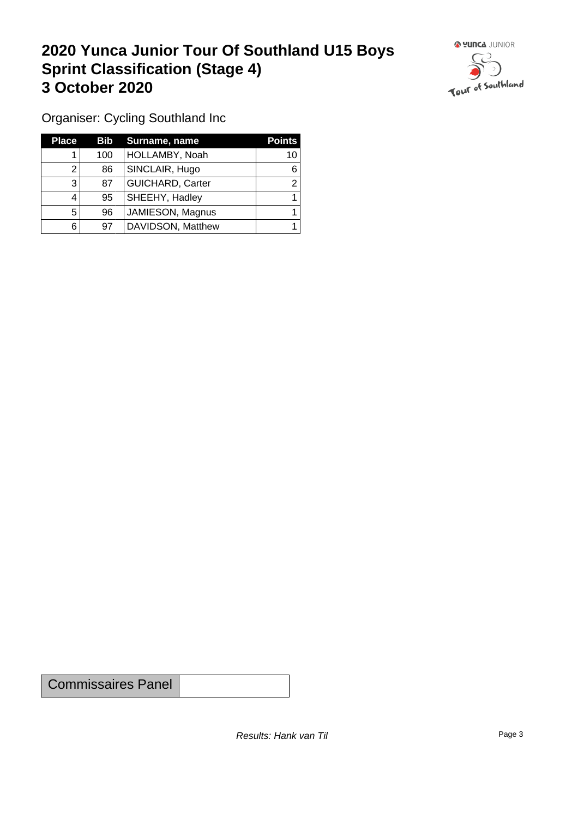# **2020 Yunca Junior Tour Of Southland U15 Boys Sprint Classification (Stage 4) 3 October 2020 1999 1999 1999 1999 1999 1999 1999 1999 1999 1999 1999 1999 1999 1999 1999 1999 1999 1999 1999 1999 1999 1999 1999 1999 1999 1999 1999 1999 1999 1**



Organiser: Cycling Southland Inc

| <b>Place</b> | Bib | Surname, name           | <b>Points</b> |
|--------------|-----|-------------------------|---------------|
|              | 100 | HOLLAMBY, Noah          | 10            |
|              | 86  | SINCLAIR, Hugo          | 6             |
| 3            | 87  | <b>GUICHARD, Carter</b> |               |
| 4            | 95  | SHEEHY, Hadley          |               |
| 5            | 96  | JAMIESON, Magnus        |               |
| 6            | 97  | DAVIDSON, Matthew       |               |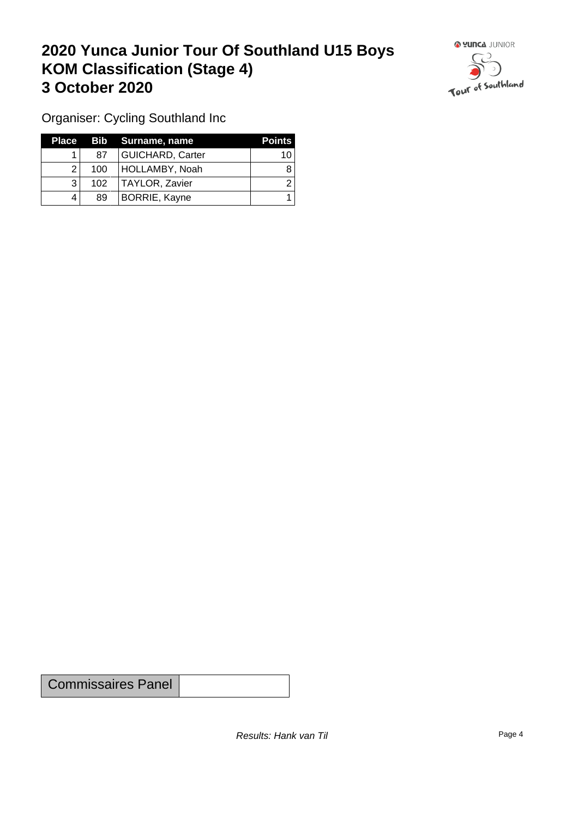# **2020 Yunca Junior Tour Of Southland U15 Boys KOM Classification (Stage 4) 3 October 2020 1999 <b>1999 1999 1999 1999 1999 1999 1999 1999 1999 1999 1999 1999 1999 1999 1999 1999 1999 1999 1999 1999 1999 1999 1999 1999 1999 1999 1999 1999 19**



Organiser: Cycling Southland Inc

| Place |                  | Bib Surname, name       | <b>Points</b> |
|-------|------------------|-------------------------|---------------|
|       | 87               | <b>GUICHARD, Carter</b> | 10            |
|       | 100 <sub>1</sub> | HOLLAMBY, Noah          |               |
| ີ     | 102 <sub>1</sub> | TAYLOR, Zavier          |               |
|       | 89               | <b>BORRIE, Kayne</b>    |               |